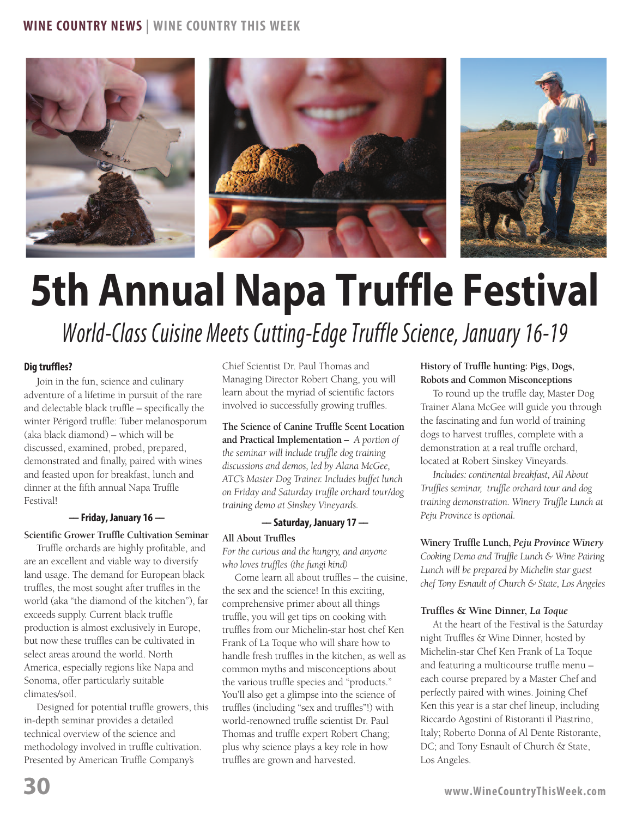

# **5th Annual Napa Truffle Festival**

*World-Class Cuisine Meets Cutting-Edge Truffle Science, January 16-19*

# **Dig truffles?**

Join in the fun, science and culinary adventure of a lifetime in pursuit of the rare and delectable black truffle – specifically the winter Périgord truffle: Tuber melanosporum (aka black diamond) – which will be discussed, examined, probed, prepared, demonstrated and finally, paired with wines and feasted upon for breakfast, lunch and dinner at the fifth annual Napa Truffle Festival!

### **–– Friday, January 16 ––**

# **Scientific Grower Truffle Cultivation Seminar**

Truffle orchards are highly profitable, and are an excellent and viable way to diversify land usage. The demand for European black truffles, the most sought after truffles in the world (aka "the diamond of the kitchen"), far exceeds supply. Current black truffle production is almost exclusively in Europe, but now these truffles can be cultivated in select areas around the world. North America, especially regions like Napa and Sonoma, offer particularly suitable climates/soil.

Designed for potential truffle growers, this in-depth seminar provides a detailed technical overview of the science and methodology involved in truffle cultivation. Presented by American Truffle Company's

Chief Scientist Dr. Paul Thomas and Managing Director Robert Chang, you will learn about the myriad of scientific factors involved io successfully growing truffles.

**The Science of Canine Truffle Scent Location and Practical Implementation –** *A portion of the seminar will include truffle dog training discussions and demos, led by Alana McGee, ATC's Master Dog Trainer. Includes buffet lunch on Friday and Saturday truffle orchard tour/dog training demo at Sinskey Vineyards.*

#### **–– Saturday, January 17 ––**

#### **All About Truffles**

*For the curious and the hungry, and anyone who loves truffles (the fungi kind)*

Come learn all about truffles – the cuisine, the sex and the science! In this exciting, comprehensive primer about all things truffle, you will get tips on cooking with truffles from our Michelin-star host chef Ken Frank of La Toque who will share how to handle fresh truffles in the kitchen, as well as common myths and misconceptions about the various truffle species and "products." You'll also get a glimpse into the science of truffles (including "sex and truffles"!) with world-renowned truffle scientist Dr. Paul Thomas and truffle expert Robert Chang; plus why science plays a key role in how truffles are grown and harvested.

**History of Truffle hunting: Pigs, Dogs, Robots and Common Misconceptions**

To round up the truffle day, Master Dog Trainer Alana McGee will guide you through the fascinating and fun world of training dogs to harvest truffles, complete with a demonstration at a real truffle orchard, located at Robert Sinskey Vineyards.

*Includes: continental breakfast, All About Truffles seminar, truffle orchard tour and dog training demonstration. Winery Truffle Lunch at Peju Province is optional.*

**Winery Truffle Lunch,** *Peju Province Winery Cooking Demo and Truffle Lunch & Wine Pairing Lunch will be prepared by Michelin star guest chef Tony Esnault of Church & State, Los Angeles*

#### **Truffles & Wine Dinner,** *La Toque*

At the heart of the Festival is the Saturday night Truffles & Wine Dinner, hosted by Michelin-star Chef Ken Frank of La Toque and featuring a multicourse truffle menu – each course prepared by a Master Chef and perfectly paired with wines. Joining Chef Ken this year is a star chef lineup, including Riccardo Agostini of Ristoranti il Piastrino, Italy; Roberto Donna of Al Dente Ristorante, DC; and Tony Esnault of Church & State, Los Angeles.